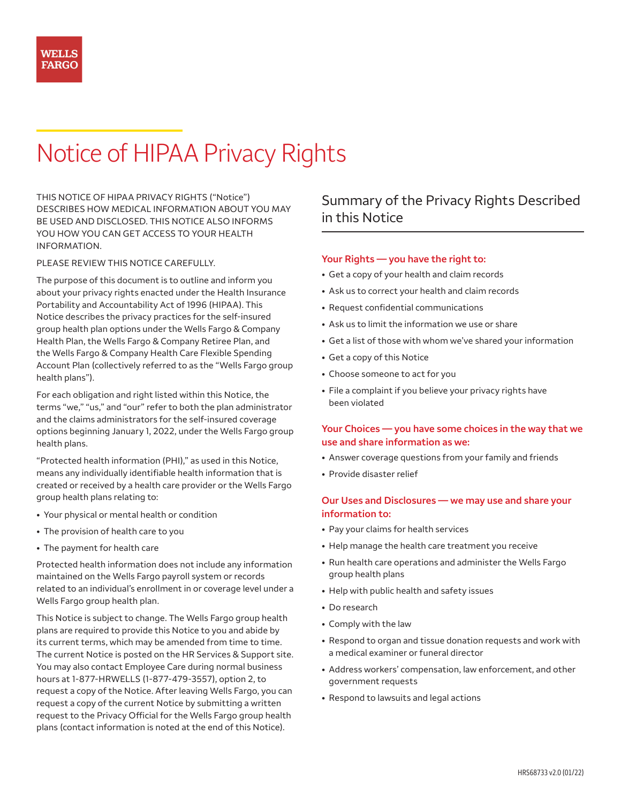# Notice of HIPAA Privacy Rights

THIS NOTICE OF HIPAA PRIVACY RIGHTS ("Notice") DESCRIBES HOW MEDICAL INFORMATION ABOUT YOU MAY BE USED AND DISCLOSED. THIS NOTICE ALSO INFORMS YOU HOW YOU CAN GET ACCESS TO YOUR HEALTH INFORMATION.

#### PLEASE REVIEW THIS NOTICE CAREFULLY.

The purpose of this document is to outline and inform you about your privacy rights enacted under the Health Insurance Portability and Accountability Act of 1996 (HIPAA). This Notice describes the privacy practices for the self-insured group health plan options under the Wells Fargo & Company Health Plan, the Wells Fargo & Company Retiree Plan, and the Wells Fargo & Company Health Care Flexible Spending Account Plan (collectively referred to as the "Wells Fargo group health plans").

For each obligation and right listed within this Notice, the terms "we," "us," and "our" refer to both the plan administrator and the claims administrators for the self-insured coverage options beginning January 1, 2022, under the Wells Fargo group health plans.

"Protected health information (PHI)," as used in this Notice, means any individually identifiable health information that is created or received by a health care provider or the Wells Fargo group health plans relating to:

- Your physical or mental health or condition
- The provision of health care to you
- The payment for health care

P rotected health information does not include any information maintained on the Wells Fargo payroll system or records related to an individual's enrollment in or coverage level under a Wells Fargo group health plan.

This Notice is subject to change. The Wells Fargo group health plans are required to provide this Notice to you and abide by its current terms, which may be amended from time to time. The current Notice is posted on the HR Services & Support site. You may also contact Employee Care during normal business hours at 1-877-HRWELLS (1-877-479-3557), option 2, to request a copy of the Notice. After leaving Wells Fargo, you can request a copy of the current Notice by submitting a written request to the Privacy Official for the Wells Fargo group health plans (contact information is noted at the end of this Notice).

# Summary of the Privacy Rights Described in this Notice

#### **Your Rights — you have the right to:**

- Get a copy of your health and claim records
- Ask us to correct your health and claim records
- Request confidential communications
- Ask us to limit the information we use or share
- Get a list of those with whom we've shared your information
- Get a copy of this Notice
- Choose someone to act for you
- File a complaint if you believe your privacy rights have been violated

## **Your Choices — you have some choices in the way that we use and share information as we:**

- Answer coverage questions from your family and friends
- Provide disaster relief

#### **Our Uses and Disclosures — we may use and share your information to:**

- Pay your claims for health services
- Help manage the health care treatment you receive
- Run health care operations and administer the Wells Fargo group health plans
- Help with public health and safety issues
- Do research
- Comply with the law
- Respond to organ and tissue donation requests and work with a medical examiner or funeral director
- Address workers' compensation, law enforcement, and other government requests
- Respond to lawsuits and legal actions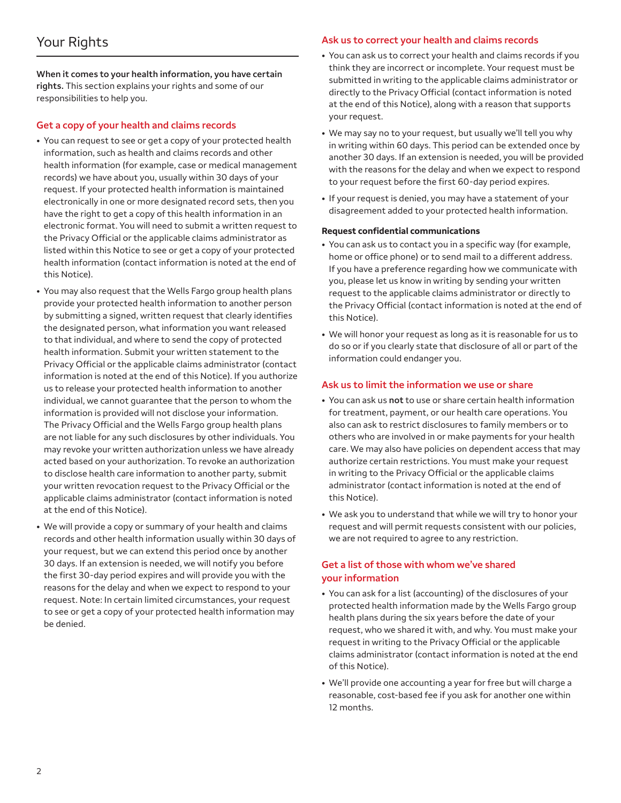**When it comes to your health information, you have certain rights.** This section explains your rights and some of our responsibilities to help you.

### **Get a copy of your health and claims records**

- You can request to see or get a copy of your protected health information, such as health and claims records and other health information (for example, case or medical management records) we have about you, usually within 30 days of your request. If your protected health information is maintained electronically in one or more designated record sets, then you have the right to get a copy of this health information in an electronic format. You will need to submit a written request to the Privacy Official or the applicable claims administrator as listed within this Notice to see or get a copy of your protected health information (contact information is noted at the end of this Notice).
- You may also request that the Wells Fargo group health plans provide your protected health information to another person by submitting a signed, written request that clearly identifies the designated person, what information you want released to that individual, and where to send the copy of protected health information. Submit your written statement to the Privacy Official or the applicable claims administrator (contact information is noted at the end of this Notice). If you authorize us to release your protected health information to another individual, we cannot guarantee that the person to whom the information is provided will not disclose your information. The Privacy Official and the Wells Fargo group health plans are not liable for any such disclosures by other individuals. You may revoke your written authorization unless we have already acted based on your authorization. To revoke an authorization to disclose health care information to another party, submit your written revocation request to the Privacy Official or the applicable claims administrator (contact information is noted at the end of this Notice).
- We will provide a copy or summary of your health and claims records and other health information usually within 30 days of your request, but we can extend this period once by another 30 days. If an extension is needed, we will notify you before the first 30-day period expires and will provide you with the reasons for the delay and when we expect to respond to your request. Note: In certain limited circumstances, your request to see or get a copy of your protected health information may be denied.

#### **Ask us to correct your health and claims records**

- You can ask us to correct your health and claims records if you think they are incorrect or incomplete. Your request must be submitted in writing to the applicable claims administrator or directly to the Privacy Official (contact information is noted at the end of this Notice), along with a reason that supports your request.
- We may say no to your request, but usually we'll tell you why in writing within 60 days. This period can be extended once by another 30 days. If an extension is needed, you will be provided with the reasons for the delay and when we expect to respond to your request before the first 60-day period expires.
- If your request is denied, you may have a statement of your disagreement added to your protected health information.

#### **Request confidential communications**

- You can ask us to contact you in a specific way (for example, home or office phone) or to send mail to a different address. If you have a preference regarding how we communicate with you, please let us know in writing by sending your written request to the applicable claims administrator or directly to the Privacy Official (contact information is noted at the end of this Notice).
- We will honor your request as long as it is reasonable for us to do so or if you clearly state that disclosure of all or part of the information could endanger you.

#### **Ask us to limit the information we use or share**

- You can ask us **not** to use or share certain health information for treatment, payment, or our health care operations. You also can ask to restrict disclosures to family members or to others who are involved in or make payments for your health care. We may also have policies on dependent access that may authorize certain restrictions. You must make your request in writing to the Privacy Official or the applicable claims administrator (contact information is noted at the end of this Notice).
- We ask you to understand that while we will try to honor your request and will permit requests consistent with our policies, we are not required to agree to any restriction.

## **Get a list of those with whom we've shared your information**

- You can ask for a list (accounting) of the disclosures of your protected health information made by the Wells Fargo group health plans during the six years before the date of your request, who we shared it with, and why. You must make your request in writing to the Privacy Official or the applicable claims administrator (contact information is noted at the end of this Notice).
- We'll provide one accounting a year for free but will charge a reasonable, cost-based fee if you ask for another one within 12 months.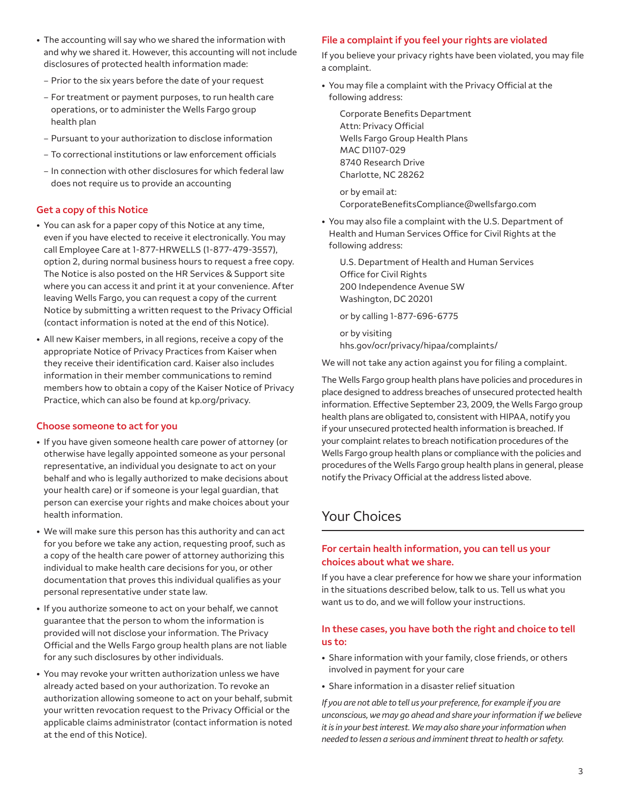- The accounting will say who we shared the information with and why we shared it. However, this accounting will not include disclosures of protected health information made:
	- Prior to the six years before the date of your request
	- For treatment or payment purposes, to run health care operations, or to administer the Wells Fargo group health plan
	- Pursuant to your authorization to disclose information
	- To correctional institutions or law enforcement officials
- In connection with other disclosures for which federal law does not require us to provide an accounting

#### **Get a copy of this Notice**

- You can ask for a paper copy of this Notice at any time, even if you have elected to receive it electronically. You may call Employee Care at 1-877-HRWELLS (1-877-479-3557), option 2, during normal business hours to request a free copy. The Notice is also posted on the HR Services & Support site where you can access it and print it at your convenience. After leaving Wells Fargo, you can request a copy of the current Notice by submitting a written request to the Privacy Official (contact information is noted at the end of this Notice).
- All new Kaiser members, in all regions, receive a copy of the appropriate Notice of Privacy Practices from Kaiser when they receive their identification card. Kaiser also includes information in their member communications to remind members how to obtain a copy of the Kaiser Notice of Privacy Practice, which can also be found at [kp.org/privacy](http://kp.org/privacy).

#### **Choose someone to act for you**

- If you have given someone health care power of attorney (or otherwise have legally appointed someone as your personal representative, an individual you designate to act on your behalf and who is legally authorized to make decisions about your health care) or if someone is your legal guardian, that person can exercise your rights and make choices about your health information.
- We will make sure this person has this authority and can act for you before we take any action, requesting proof, such as a copy of the health care power of attorney authorizing this individual to make health care decisions for you, or other documentation that proves this individual qualifies as your personal representative under state law.
- If you authorize someone to act on your behalf, we cannot guarantee that the person to whom the information is provided will not disclose your information. The Privacy Official and the Wells Fargo group health plans are not liable for any such disclosures by other individuals.
- You may revoke your written authorization unless we have already acted based on your authorization. To revoke an authorization allowing someone to act on your behalf, submit your written revocation request to the Privacy Official or the applicable claims administrator (contact information is noted at the end of this Notice).

## **File a complaint if you feel your rights are violated**

If you believe your privacy rights have been violated, you may file a complaint.

• You may file a complaint with the Privacy Official at the following address:

Corporate Benefits Department Attn: Privacy Official Wells Fargo Group Health Plans MAC D1107-029 8740 Research Drive Charlotte, NC 28262

or by email at: CorporateBenefitsCompliance@wellsfargo.com

• You may also file a complaint with the U.S. Department of Health and Human Services Office for Civil Rights at the following address:

U.S. Department of Health and Human Services Office for Civil Rights 200 Independence Avenue SW Washington, DC 20201

or by calling 1-877-696-6775

or by visiting [hhs.gov/ocr/privacy/hipaa/complaints/](http://hhs.gov/ocr/privacy/hipaa/complaints/)

We will not take any action against you for filing a complaint.

The Wells Fargo group health plans have policies and procedures in place designed to address breaches of unsecured protected health information. Effective September 23, 2009, the Wells Fargo group health plans are obligated to, consistent with HIPAA, notify you if your unsecured protected health information is breached. If your complaint relates to breach notification procedures of the Wells Fargo group health plans or compliance with the policies and procedures of the Wells Fargo group health plans in general, please notify the Privacy Official at the address listed above.

# Your Choices

## **For certain health information, you can tell us your choices about what we share.**

If you have a clear preference for how we share your information in the situations described below, talk to us. Tell us what you want us to do, and we will follow your instructions.

## **In these cases, you have both the right and choice to tell us to:**

- Share information with your family, close friends, or others involved in payment for your care
- Share information in a disaster relief situation

*If you are not able to tell us your preference, for example if you are unconscious, we may go ahead and share your information if we believe it is in your best interest. We may also share your information when needed to lessen a serious and imminent threat to health or safety.*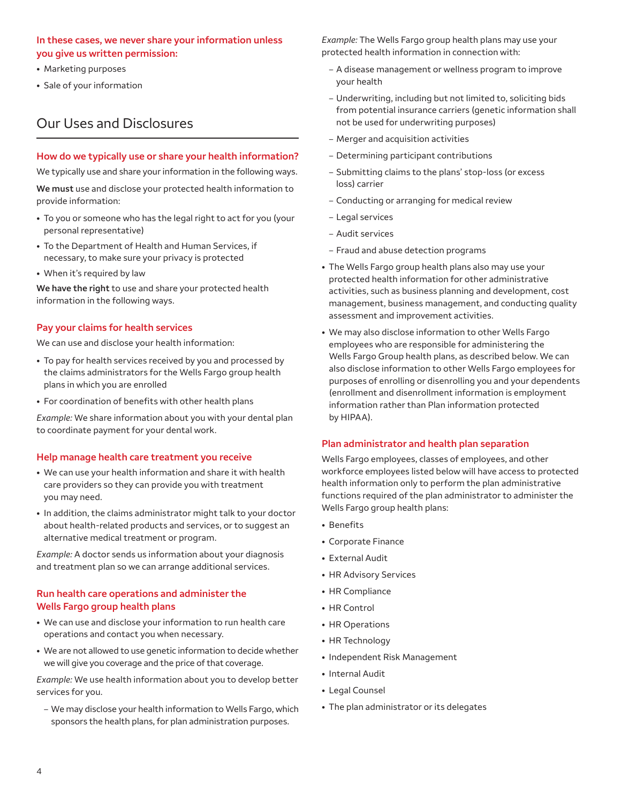### **In these cases, we never share your information unless you give us written permission:**

- Marketing purposes
- Sale of your information

# Our Uses and Disclosures

### **How do we typically use or share your health information?**

We typically use and share your information in the following ways.

**We must** use and disclose your protected health information to provide information:

- To you or someone who has the legal right to act for you (your personal representative)
- To the Department of Health and Human Services, if necessary, to make sure your privacy is protected
- When it's required by law

**We have the right** to use and share your protected health information in the following ways.

#### **Pay your claims for health services**

We can use and disclose your health information:

- To pay for health services received by you and processed by the claims administrators for the Wells Fargo group health plans in which you are enrolled
- For coordination of benefits with other health plans

*Example:* We share information about you with your dental plan to coordinate payment for your dental work.

#### **Help manage health care treatment you receive**

- We can use your health information and share it with health care providers so they can provide you with treatment you may need.
- In addition, the claims administrator might talk to your doctor about health-related products and services, or to suggest an alternative medical treatment or program.

*Example:* A doctor sends us information about your diagnosis and treatment plan so we can arrange additional services.

## **Run health care operations and administer the Wells Fargo group health plans**

- We can use and disclose your information to run health care operations and contact you when necessary.
- We are not allowed to use genetic information to decide whether we will give you coverage and the price of that coverage.

*Example:* We use health information about you to develop better services for you.

– We may disclose your health information to Wells Fargo, which sponsors the health plans, for plan administration purposes.

*Example:* The Wells Fargo group health plans may use your protected health information in connection with:

- A disease management or wellness program to improve your health
- Underwriting, including but not limited to, soliciting bids from potential insurance carriers (genetic information shall not be used for underwriting purposes)
- Merger and acquisition activities
- Determining participant contributions
- Submitting claims to the plans' stop-loss (or excess loss) carrier
- Conducting or arranging for medical review
- Legal services
- Audit services
- Fraud and abuse detection programs
- The Wells Fargo group health plans also may use your protected health information for other administrative activities, such as business planning and development, cost management, business management, and conducting quality assessment and improvement activities.
- We may also disclose information to other Wells Fargo employees who are responsible for administering the Wells Fargo Group health plans, as described below. We can also disclose information to other Wells Fargo employees for purposes of enrolling or disenrolling you and your dependents (enrollment and disenrollment information is employment information rather than Plan information protected by HIPAA).

#### **Plan administrator and health plan separation**

Wells Fargo employees, classes of employees, and other workforce employees listed below will have access to protected health information only to perform the plan administrative functions required of the plan administrator to administer the Wells Fargo group health plans:

- Benefits
- Corporate Finance
- External Audit
- HR Advisory Services
- HR Compliance
- HR Control
- HR Operations
- HR Technology
- Independent Risk Management
- Internal Audit
- Legal Counsel
- The plan administrator or its delegates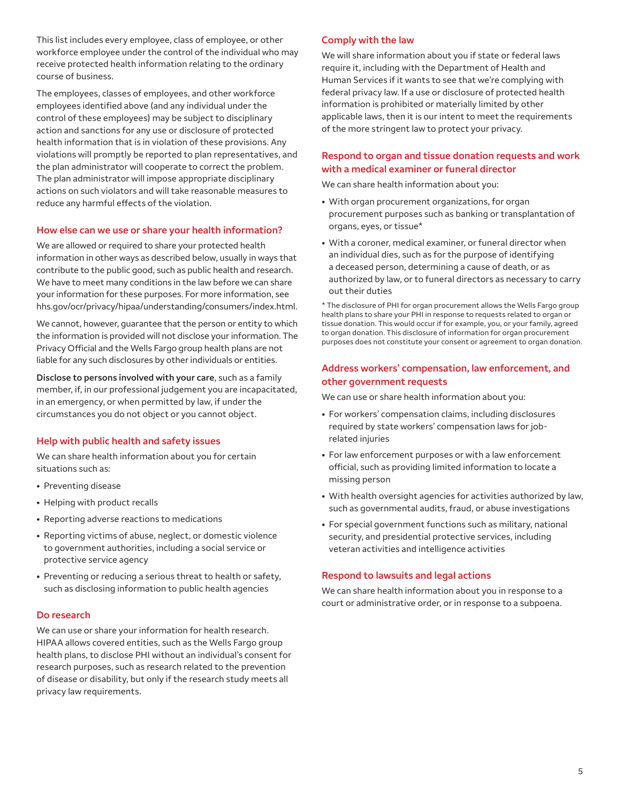This list includes every employee, class of employee, or other workforce employee under the control of the individual who may receive protected health information relating to the ordinary course of business.

The employees, classes of employees, and other workforce employees identified above (and any individual under the control of these employees) may be subject to disciplinary action and sanctions for any use or disclosure of protected health information that is in violation of these provisions. Any violations will promptly be reported to plan representatives, and the plan administrator will cooperate to correct the problem. The plan administrator will impose appropriate disciplinary actions on such violators and will take reasonable measures to reduce any harmful effects of the violation.

#### **How else can we use or share your health information?**

We are allowed or required to share your protected health information in other ways as described below, usually in ways that contribute to the public good, such as public health and research. We have to meet many conditions in the law before we can share your information for these purposes. For more information, see [hhs.gov/ocr/privacy/hipaa/understanding/consumers/i](http://hhs.gov/ocr/privacy/hipaa/understanding/consumers/index.html)ndex.html.

We cannot, however, guarantee that the person or entity to which the information is provided will not disclose your information. The Privacy Official and the Wells Fargo group health plans are not liable for any such disclosures by other individuals or entities.

**Disclose to persons involved with your care**, such as a family member, if, in our professional judgement you are incapacitated, in an emergency, or when permitted by law, if under the circumstances you do not object or you cannot object.

#### **Help with public health and safety issues**

We can share health information about you for certain situations such as:

- Preventing disease
- Helping with product recalls
- Reporting adverse reactions to medications
- Reporting victims of abuse, neglect, or domestic violence to government authorities, including a social service or protective service agency
- Preventing or reducing a serious threat to health or safety, such as disclosing information to public health agencies

#### **Do research**

We can use or share your information for health research. HIPAA allows covered entities, such as the Wells Fargo group health plans, to disclose PHI without an individual's consent for research purposes, such as research related to the prevention of disease or disability, but only if the research study meets all privacy law requirements.

#### **Comply with the law**

We will share information about you if state or federal laws require it, including with the Department of Health and Human Services if it wants to see that we're complying with federal privacy law. If a use or disclosure of protected health information is prohibited or materially limited by other applicable laws, then it is our intent to meet the requirements of the more stringent law to protect your privacy.

### **Respond to organ and tissue donation requests and work with a medical examiner or funeral director**

We can share health information about you:

- With organ procurement organizations, for organ procurement purposes such as banking or transplantation of organs, eyes, or tissue\*
- With a coroner, medical examiner, or funeral director when an individual dies, such as for the purpose of identifying a deceased person, determining a cause of death, or as authorized by law, or to funeral directors as necessary to carry out their duties

\* The disclosure of PHI for organ procurement allows the Wells Fargo group health plans to share your PHI in response to requests related to organ or tissue donation. This would occur if for example, you, or your family, agreed to organ donation. This disclosure of information for organ procurement purposes does not constitute your consent or agreement to organ donation.

#### **Address workers' compensation, law enforcement, and other government requests**

We can use or share health information about you:

- For workers' compensation claims, including disclosures required by state workers' compensation laws for jobrelated injuries
- For law enforcement purposes or with a law enforcement official, such as providing limited information to locate a missing person
- With health oversight agencies for activities authorized by law, such as governmental audits, fraud, or abuse investigations
- For special government functions such as military, national security, and presidential protective services, including veteran activities and intelligence activities

#### **Respond to lawsuits and legal actions**

We can share health information about you in response to a court or administrative order, or in response to a subpoena.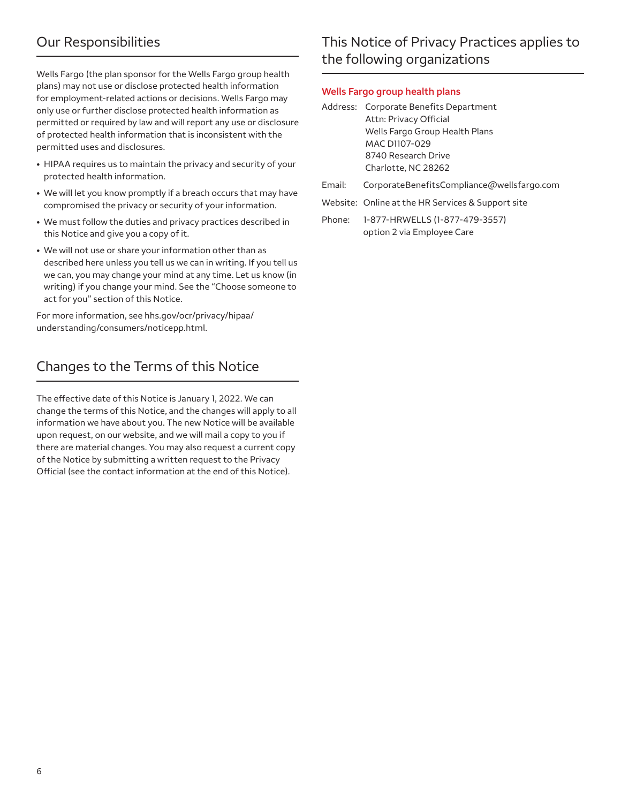# Our Responsibilities

Wells Fargo (the plan sponsor for the Wells Fargo group health plans) may not use or disclose protected health information for employment-related actions or decisions. Wells Fargo may only use or further disclose protected health information as permitted or required by law and will report any use or disclosure of protected health information that is inconsistent with the permitted uses and disclosures.

- HIPAA requires us to maintain the privacy and security of your protected health information.
- We will let you know promptly if a breach occurs that may have compromised the privacy or security of your information.
- We must follow the duties and privacy practices described in this Notice and give you a copy of it.
- We will not use or share your information other than as described here unless you tell us we can in writing. If you tell us we can, you may change your mind at any time. Let us know (in writing) if you change your mind. See the "Choose someone to act for you" section of this Notice.

For more information, see [hhs.gov/ocr/privacy/hipaa/](http://hhs.gov/ocr/privacy/hipaa/understanding/consumers/noticepp.html)  [understanding/consumers/noticepp.html](http://hhs.gov/ocr/privacy/hipaa/understanding/consumers/noticepp.html).

# Changes to the Terms of this Notice

The effective date of this Notice is January 1, 2022. We can change the terms of this Notice, and the changes will apply to all information we have about you. The new Notice will be available upon request, on our website, and we will mail a copy to you if there are material changes. You may also request a current copy of the Notice by submitting a written request to the Privacy Official (see the contact information at the end of this Notice).

# This Notice of Privacy Practices applies to the following organizations

#### **Wells Fargo group health plans**

- MAC D1107-029 Address: Corporate Benefits Department Attn: Privacy Official Wells Fargo Group Health Plans 8740 Research Drive Charlotte, NC 28262
- Email: CorporateBenefitsCompliance@wellsfargo.com
- Website: Online at the HR Services & Support site

Phone: 1-877-HRWELLS (1-877-479-3557) option 2 via Employee Care